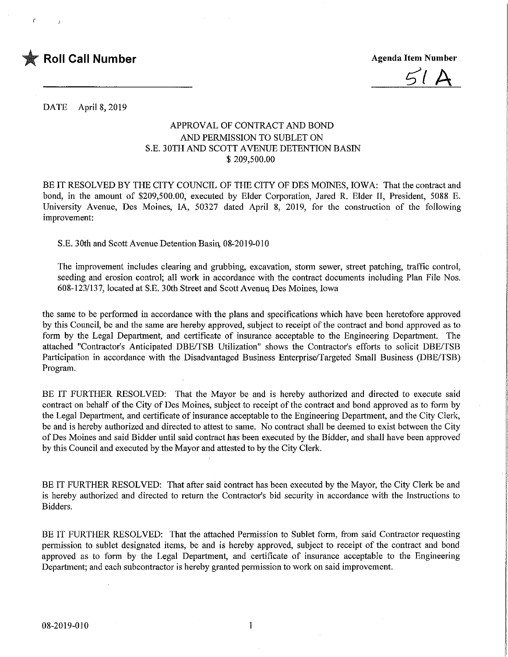

ŕ

**Agenda Item Number** 

DATE April 8, 2019

## APPROVAL OF CONTRACT AND BOND AND PERMISSION TO SUBLET ON S.E. 30TH AND SCOTT AVENUE DETENTION BASIN \$ 209,500.00

BE IT RESOLVED BY THE CITY COUNCIL OF THE CITY OF DES MOINES, IOWA: That the contract and bond, in the amount of \$209,500.00, executed by Elder Corporation, Jared R. Elder II, President, 5088 E. University Avenue, Des Moines, IA, 50327 dated April 8, 2019, for the construction of the following improvement:

S.E. 30th and Scott Avenue Detention Basin, 08-2019-010

The improvement includes clearing and grubbing, excavation, storm sewer, street patching, traffic control, seeding and erosion control; all work in accordance with the contract documents including Plan File Nos. 608-123/137, located at S.E. 30th Street and Scott Avenue Des Moines, Iowa

the same to be performed in accordance with the plans and specifications which have been heretofore approved by this Council, be and the same are hereby approved, subject to receipt of the contract and bond approved as to form by the Legal Department, and certificate of insurance acceptable to the Engineering Department. The attached "Contractor's Anticipated DBE/TSB Utilization" shows the Contractor's efforts to solicit DBE/TSB Participation in accordance with the Disadvantaged Business Enterprise/Targeted Small Business (DBE/TSB) Program.

BE IT FURTHER RESOLVED: That the Mayor be and is hereby authorized and directed to execute said contract on behalf of the City of Des Moines, subject to receipt of the contract and bond approved as to form by the Legal Department, and certificate of insurance acceptable to the Engineering Department, and the City Clerk, be and is hereby authorized and directed to attest to same. No contract shall be deemed to exist between the City of Des Moines and said Bidder until said contract has been executed by the Bidder, and shall have been approved by this Council and executed by the Mayor and attested to by the City Clerk.

BE IT FURTHER RESOLVED: That after said contract has been executed by the Mayor, the City Clerk be and is hereby authorized and directed to return the Contractor's bid security in accordance with the Instructions to Bidders.

BE IT FURTHER RESOLVED: That the attached Permission to Sublet form, from said Contractor requesting permission to sublet designated items, be and is hereby approved, subject to receipt of the contract and bond approved as to form by the Legal Department, and certificate of insurance acceptable to the Engineering Department; and each subcontractor is hereby granted permission to work on said improvement.

 $\mathbf{1}$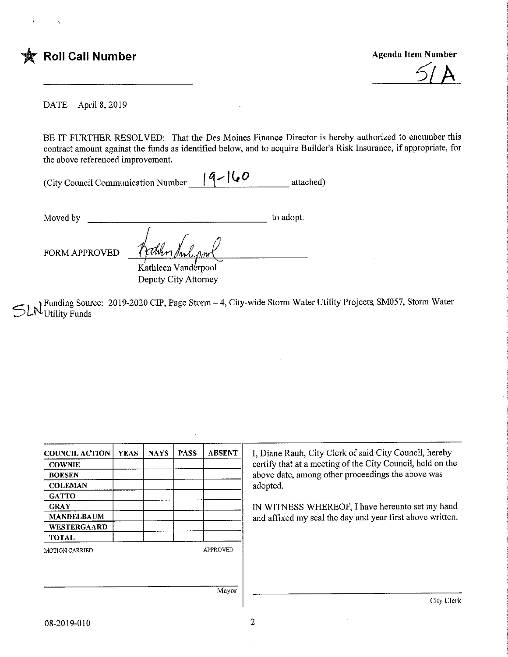

 $\hat{I}$ 

 $\leq$ / $\overline{A}$ 

 $\bar{z}$ 

DATE April 8, 2019

BE IT FURTHER RESOLVED: That the Des Moines Finance Director is hereby authorized to encumber this contract amount against the funds as identified below, and to acquire Builder's Risk Insurance, if appropriate, for the above referenced improvement.

| (City Council Communication Number | $ 9- 60 $ | attached) |
|------------------------------------|-----------|-----------|
|                                    |           |           |

to adopt. Moved by

FORM APPROVED

Kathleen Vanderpool Deputy City Attorney

Funding Source: 2019-2020 CIP, Page Storm – 4, City-wide Storm Water Utility Projects, SM057, Storm Water Utility Punds 'Utility Funds

| <b>COUNCIL ACTION</b> | <b>YEAS</b> | <b>NAYS</b> | <b>PASS</b> | <b>ABSENT</b>   | I, Diane Rauh, City Clerk of said City Council, hereby     |
|-----------------------|-------------|-------------|-------------|-----------------|------------------------------------------------------------|
| <b>COWNIE</b>         |             |             |             |                 | certify that at a meeting of the City Council, held on the |
| <b>BOESEN</b>         |             |             |             |                 | above date, among other proceedings the above was          |
| <b>COLEMAN</b>        |             |             |             |                 | adopted.                                                   |
| <b>GATTO</b>          |             |             |             |                 |                                                            |
| <b>GRAY</b>           |             |             |             |                 | IN WITNESS WHEREOF, I have hereunto set my hand            |
| <b>MANDELBAUM</b>     |             |             |             |                 | and affixed my seal the day and year first above written.  |
| WESTERGAARD           |             |             |             |                 |                                                            |
| <b>TOTAL</b>          |             |             |             |                 |                                                            |
| <b>MOTION CARRIED</b> |             |             |             | <b>APPROVED</b> |                                                            |
|                       |             |             |             |                 |                                                            |
|                       |             |             |             |                 |                                                            |
|                       |             |             |             |                 |                                                            |
|                       |             |             |             | Mayor           |                                                            |
|                       |             |             |             |                 | City Clerk                                                 |
|                       |             |             |             |                 |                                                            |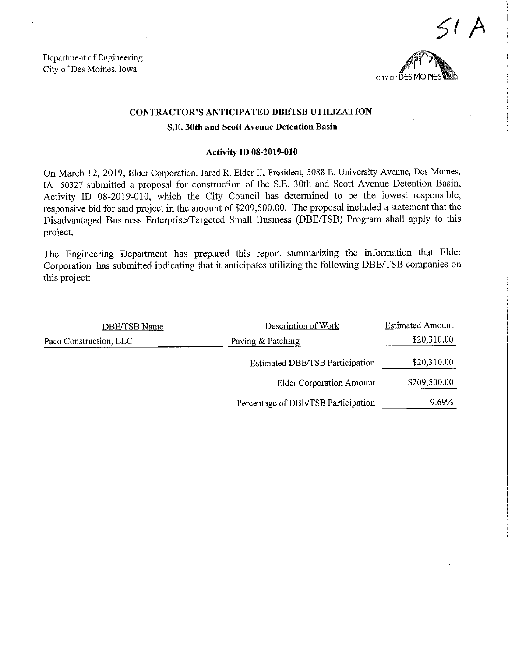Department of Engineering City of Des Moines, Iowa



## CONTRACTOR'S ANTICIPATED DBETSB UTILIZATION

### S.E. 30th and Scott Avenue Detention Basin

#### Activity ID 08-2019-010

On March 12, 2019, Elder Corporation, Jared R. Elder II, President, 5088 E. Umversity Avenue, Des Moines, 1A 50327 submitted a proposal for construction of the S.E. 30th and Scott Avenue Detention Basin, Activity ID 08-2019-010, which the City Council has determined to be the lowest responsible, responsive bid for said project in the amount of \$209,500.00. The proposal included a statement that the Disadvantaged Business Enterprise/Targeted Small Business (DBE/TSB) Program shall apply to this project.

The Engineering Department has prepared this report summarizing the information that Elder Corporation, has submitted indicating that it anticipates utilizing the following DBE/TSB companies on this project:

| DBE/TSB Name                                | Description of Work                    | <b>Estimated Amount</b> |
|---------------------------------------------|----------------------------------------|-------------------------|
| Paving & Patching<br>Paco Construction, LLC |                                        | \$20,310.00             |
|                                             | <b>Estimated DBE/TSB Participation</b> | \$20,310.00             |
|                                             | <b>Elder Corporation Amount</b>        | \$209,500.00            |
|                                             | Percentage of DBE/TSB Participation    | 9.69%                   |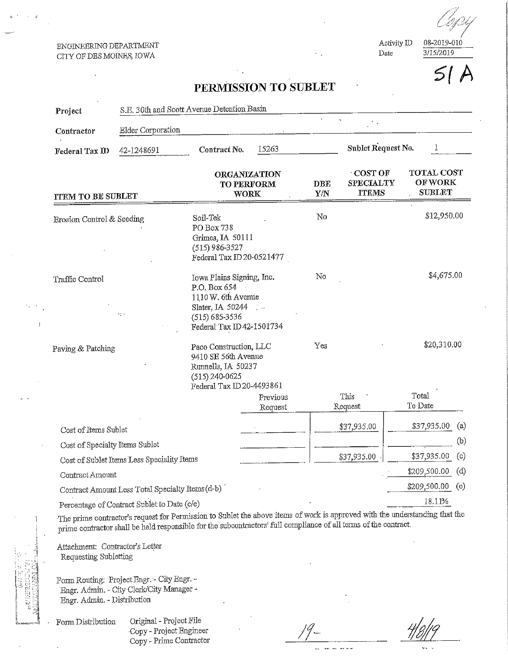#### ENGINEERING DEPARTMENT CITY OF DES MOINES, IOWA

Activity ID Date

 $3/15/2019$  $5<sub>l</sub>$ 

08-2019-010

# PERMISSION TO SUBLET

| Project                                    | S.E. 30th and Scott Avenue Detention Basin       |                                                                                                                                       |                             |                   |                                             |                      |                                                      |  |
|--------------------------------------------|--------------------------------------------------|---------------------------------------------------------------------------------------------------------------------------------------|-----------------------------|-------------------|---------------------------------------------|----------------------|------------------------------------------------------|--|
| Contractor                                 | Elder Corporation                                |                                                                                                                                       |                             |                   |                                             |                      |                                                      |  |
| Federal Tax ID                             | 42-1248691                                       | Contract No.                                                                                                                          | 15263                       |                   | Sublet Request No.<br>1                     |                      |                                                      |  |
| <b>ITEM TO BE SUBLET</b>                   |                                                  | ORGANIZATION<br>TO PERFORM<br><b>WORK</b>                                                                                             |                             | <b>DBE</b><br>Y/N | COST OF<br><b>SPECIALTY</b><br><b>TTEMS</b> |                      | <b>TOTAL COST</b><br><b>OF WORK</b><br><b>SUBLET</b> |  |
| Erosion Control & Seeding                  |                                                  | Soil-Tek<br>PO Box 738<br>Grimes, IA 50111<br>$(515)$ 986-3527<br>Federal Tax ID 20-0521477                                           |                             | No                |                                             | \$12,950.00          |                                                      |  |
| Traffic Control                            | -13                                              | Iowa Plains Signing, Inc.<br>P.O. Box 654<br>1110 W. 6th Avenue<br>Slater, IA 50244<br>$(515) 685 - 3536$<br>Federal Tax ID42-1501734 | $\mathcal{L}_{\mathcal{A}}$ | No                |                                             | \$4,675.00           |                                                      |  |
| Paving & Patching                          |                                                  | Paco Construction, LLC<br>9410 SE 56th Avenue<br>Runnells, IA 50237<br>$(515) 240 - 0625$<br>Federal Tax ID20-4493861<br>Previous     |                             | Yes               | This                                        | \$20,310.00<br>Total |                                                      |  |
|                                            |                                                  |                                                                                                                                       | Request                     |                   | Request                                     | To Date              |                                                      |  |
| Cost of Items Sublet                       |                                                  |                                                                                                                                       |                             |                   | \$37,935.00                                 | \$37,935.00          | (a)                                                  |  |
| Cost of Specialty Items Sublet             |                                                  |                                                                                                                                       |                             |                   |                                             |                      | (b)                                                  |  |
| Cost of Sublet Items Less Speciality Items |                                                  |                                                                                                                                       |                             | \$37,935.00       | \$37,935.00                                 | (c)                  |                                                      |  |
| Contract Amount                            |                                                  |                                                                                                                                       |                             |                   |                                             | \$209,500.00         | (d)                                                  |  |
|                                            | Contract Amount Less Total Specialty Items (d-b) |                                                                                                                                       |                             |                   |                                             | \$209,500.00         | (e)                                                  |  |
|                                            | Percentage of Contract Sublet to Date (c/c)      |                                                                                                                                       |                             |                   |                                             | 18.11%               |                                                      |  |

The prime contractor's request for Permission to Sublet the above items of work is approved with the understanding that the prime contractor shall be held responsible for the subcontractors' full compliance of all terms of the contract.

Attachment: Contractor's Letter Requesting Subletting

Form Routing: Project Engr. - City Engr. -Engr. Admin. - City Clerk/City Manager -Engr. Admin - Distribution

Form Distribution

Original - Project File Copy - Project Engineer Copy - Prime Contractor